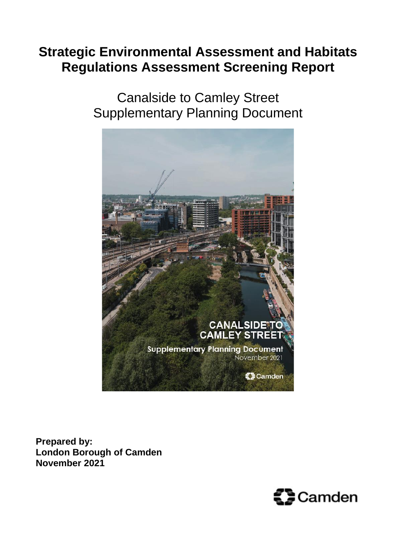# **Strategic Environmental Assessment and Habitats Regulations Assessment Screening Report**

Canalside to Camley Street Supplementary Planning Document



**Prepared by: London Borough of Camden November 2021**

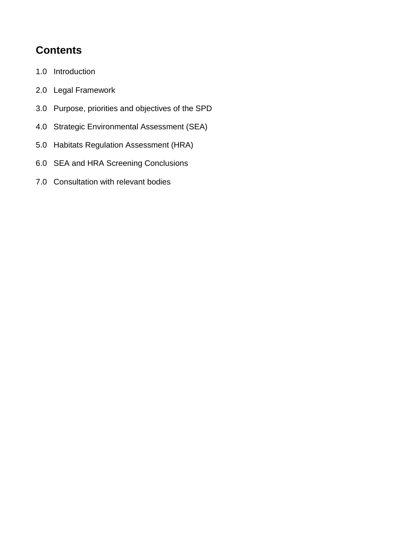# **Contents**

- 1.0 Introduction
- 2.0 Legal Framework
- 3.0 Purpose, priorities and objectives of the SPD
- 4.0 Strategic Environmental Assessment (SEA)
- 5.0 Habitats Regulation Assessment (HRA)
- 6.0 SEA and HRA Screening Conclusions
- 7.0 Consultation with relevant bodies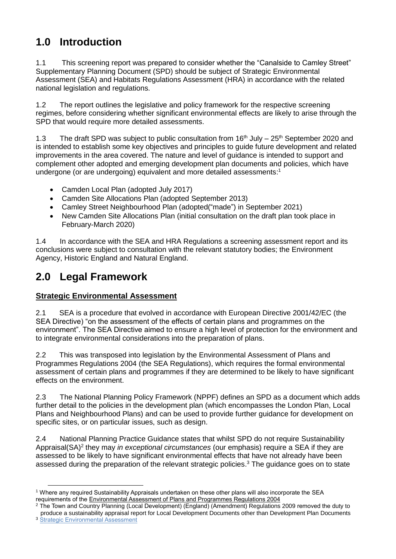## **1.0 Introduction**

1.1 This screening report was prepared to consider whether the "Canalside to Camley Street" Supplementary Planning Document (SPD) should be subject of Strategic Environmental Assessment (SEA) and Habitats Regulations Assessment (HRA) in accordance with the related national legislation and regulations.

1.2 The report outlines the legislative and policy framework for the respective screening regimes, before considering whether significant environmental effects are likely to arise through the SPD that would require more detailed assessments.

1.3 The draft SPD was subject to public consultation from  $16<sup>th</sup>$  July – 25<sup>th</sup> September 2020 and is intended to establish some key objectives and principles to guide future development and related improvements in the area covered. The nature and level of guidance is intended to support and complement other adopted and emerging development plan documents and policies, which have undergone (or are undergoing) equivalent and more detailed assessments: 1

- Camden Local Plan (adopted July 2017)
- Camden Site Allocations Plan (adopted September 2013)
- Camley Street Neighbourhood Plan (adopted("made") in September 2021)
- New Camden Site Allocations Plan (initial consultation on the draft plan took place in February-March 2020)

1.4 In accordance with the SEA and HRA Regulations a screening assessment report and its conclusions were subject to consultation with the relevant statutory bodies; the Environment Agency, Historic England and Natural England.

### **2.0 Legal Framework**

#### **Strategic Environmental Assessment**

2.1 SEA is a procedure that evolved in accordance with European Directive 2001/42/EC (the SEA Directive) "on the assessment of the effects of certain plans and programmes on the environment". The SEA Directive aimed to ensure a high level of protection for the environment and to integrate environmental considerations into the preparation of plans.

2.2 This was transposed into legislation by the Environmental Assessment of Plans and Programmes Regulations 2004 (the SEA Regulations), which requires the formal environmental assessment of certain plans and programmes if they are determined to be likely to have significant effects on the environment.

2.3 The National Planning Policy Framework (NPPF) defines an SPD as a document which adds further detail to the policies in the development plan (which encompasses the London Plan, Local Plans and Neighbourhood Plans) and can be used to provide further guidance for development on specific sites, or on particular issues, such as design.

2.4 National Planning Practice Guidance states that whilst SPD do not require Sustainability Appraisal(SA)<sup>2</sup> they may *in exceptional circumstances* (our emphasis) require a SEA if they are assessed to be likely to have significant environmental effects that have not already have been assessed during the preparation of the relevant strategic policies.<sup>3</sup> The guidance goes on to state

<sup>3</sup> [Strategic Environmental Assessment](https://www.gov.uk/guidance/strategic-environmental-assessment-and-sustainability-appraisal)

 $\overline{\phantom{a}}$ 

<sup>1</sup> Where any required Sustainability Appraisals undertaken on these other plans will also incorporate the SEA requirements of the [Environmental Assessment of Plans and Programmes Regulations 2004](http://www.legislation.gov.uk/uksi/2004/1633/contents/made)

<sup>&</sup>lt;sup>2</sup> The Town and Country Planning (Local Development) (England) (Amendment) Regulations 2009 removed the duty to produce a sustainability appraisal report for Local Development Documents other than Development Plan Documents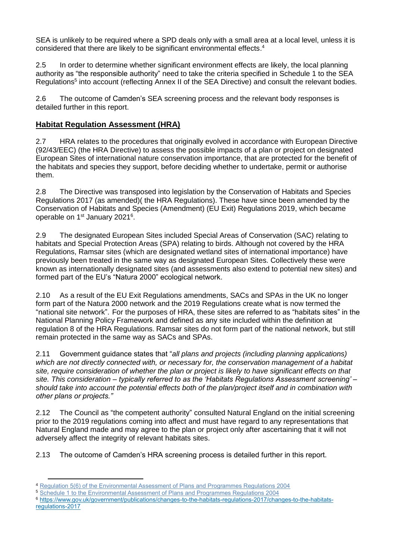SEA is unlikely to be required where a SPD deals only with a small area at a local level, unless it is considered that there are likely to be significant environmental effects. 4

2.5 In order to determine whether significant environment effects are likely, the local planning authority as "the responsible authority" need to take the criteria specified in Schedule 1 to the SEA Regulations<sup>5</sup> into account (reflecting Annex II of the SEA Directive) and consult the relevant bodies.

2.6 The outcome of Camden's SEA screening process and the relevant body responses is detailed further in this report.

#### **Habitat Regulation Assessment (HRA)**

2.7 HRA relates to the procedures that originally evolved in accordance with European Directive (92/43/EEC) (the HRA Directive) to assess the possible impacts of a plan or project on designated European Sites of international nature conservation importance, that are protected for the benefit of the habitats and species they support, before deciding whether to undertake, permit or authorise them.

2.8 The Directive was transposed into legislation by the Conservation of Habitats and Species Regulations 2017 (as amended)( the HRA Regulations). These have since been amended by the Conservation of Habitats and Species (Amendment) (EU Exit) Regulations 2019, which became operable on 1<sup>st</sup> January 2021<sup>6</sup>.

2.9 The designated European Sites included Special Areas of Conservation (SAC) relating to habitats and Special Protection Areas (SPA) relating to birds. Although not covered by the HRA Regulations, Ramsar sites (which are designated wetland sites of international importance) have previously been treated in the same way as designated European Sites. Collectively these were known as internationally designated sites (and assessments also extend to potential new sites) and formed part of the EU's "Natura 2000" ecological network.

2.10 As a result of the EU Exit Regulations amendments, SACs and SPAs in the UK no longer form part of the Natura 2000 network and the 2019 Regulations create what is now termed the "national site network". For the purposes of HRA, these sites are referred to as "habitats sites" in the National Planning Policy Framework and defined as any site included within the definition at regulation 8 of the HRA Regulations. Ramsar sites do not form part of the national network, but still remain protected in the same way as SACs and SPAs.

2.11 Government guidance states that "*all plans and projects (including planning applications) which are not directly connected with, or necessary for, the conservation management of a habitat site, require consideration of whether the plan or project is likely to have significant effects on that site. This consideration – typically referred to as the 'Habitats Regulations Assessment screening' – should take into account the potential effects both of the plan/project itself and in combination with other plans or projects."*

2.12 The Council as "the competent authority" consulted Natural England on the initial screening prior to the 2019 regulations coming into affect and must have regard to any representations that Natural England made and may agree to the plan or project only after ascertaining that it will not adversely affect the integrity of relevant habitats sites.

2.13 The outcome of Camden's HRA screening process is detailed further in this report.

<sup>6</sup> [https://www.gov.uk/government/publications/changes-to-the-habitats-regulations-2017/changes-to-the-habitats](https://www.gov.uk/government/publications/changes-to-the-habitats-regulations-2017/changes-to-the-habitats-regulations-2017)[regulations-2017](https://www.gov.uk/government/publications/changes-to-the-habitats-regulations-2017/changes-to-the-habitats-regulations-2017)

 $\overline{\phantom{a}}$ <sup>4</sup> [Regulation 5\(6\) of the Environmental Assessment of Plans and Programmes Regulations 2004](http://www.legislation.gov.uk/uksi/2004/1633/regulation/5/made)

<sup>5</sup> [Schedule 1 to the Environmental Assessment of Plans and Programmes Regulations 2004](http://www.legislation.gov.uk/uksi/2004/1633/schedule/1/made)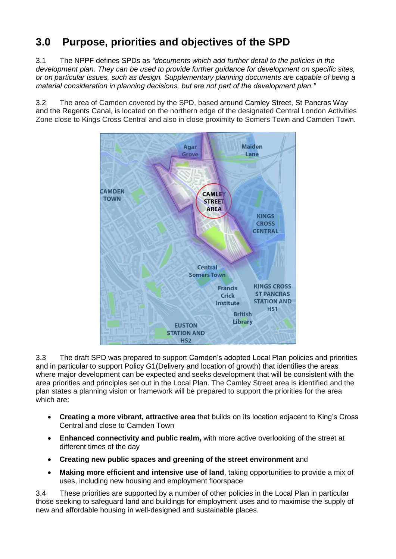# **3.0 Purpose, priorities and objectives of the SPD**

3.1 The NPPF defines SPDs as *"documents which add further detail to the policies in the development plan. They can be used to provide further guidance for development on specific sites, or on particular issues, such as design. Supplementary planning documents are capable of being a material consideration in planning decisions, but are not part of the development plan."*

3.2 The area of Camden covered by the SPD, based around Camley Street, St Pancras Way and the Regents Canal, is located on the northern edge of the designated Central London Activities Zone close to Kings Cross Central and also in close proximity to Somers Town and Camden Town.



3.3 The draft SPD was prepared to support Camden's adopted Local Plan policies and priorities and in particular to support Policy G1(Delivery and location of growth) that identifies the areas where major development can be expected and seeks development that will be consistent with the area priorities and principles set out in the Local Plan. The Camley Street area is identified and the plan states a planning vision or framework will be prepared to support the priorities for the area which are:

- **Creating a more vibrant, attractive area** that builds on its location adjacent to King's Cross Central and close to Camden Town
- **Enhanced connectivity and public realm,** with more active overlooking of the street at different times of the day
- **Creating new public spaces and greening of the street environment** and
- **Making more efficient and intensive use of land**, taking opportunities to provide a mix of uses, including new housing and employment floorspace

3.4 These priorities are supported by a number of other policies in the Local Plan in particular those seeking to safeguard land and buildings for employment uses and to maximise the supply of new and affordable housing in well-designed and sustainable places.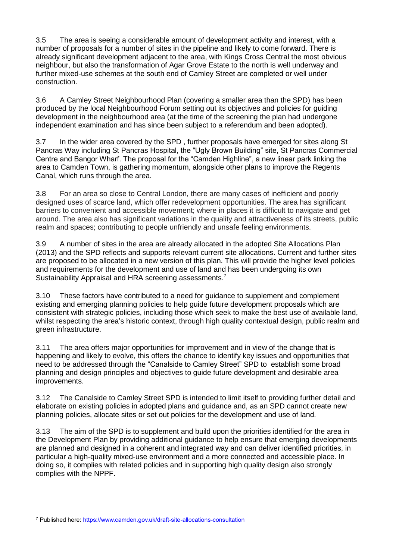3.5 The area is seeing a considerable amount of development activity and interest, with a number of proposals for a number of sites in the pipeline and likely to come forward. There is already significant development adjacent to the area, with Kings Cross Central the most obvious neighbour, but also the transformation of Agar Grove Estate to the north is well underway and further mixed-use schemes at the south end of Camley Street are completed or well under construction.

3.6 A Camley Street Neighbourhood Plan (covering a smaller area than the SPD) has been produced by the local Neighbourhood Forum setting out its objectives and policies for guiding development in the neighbourhood area (at the time of the screening the plan had undergone independent examination and has since been subject to a referendum and been adopted).

3.7 In the wider area covered by the SPD , further proposals have emerged for sites along St Pancras Way including St Pancras Hospital, the "Ugly Brown Building" site, St Pancras Commercial Centre and Bangor Wharf. The proposal for the "Camden Highline", a new linear park linking the area to Camden Town, is gathering momentum, alongside other plans to improve the Regents Canal, which runs through the area.

3.8 For an area so close to Central London, there are many cases of inefficient and poorly designed uses of scarce land, which offer redevelopment opportunities. The area has significant barriers to convenient and accessible movement; where in places it is difficult to navigate and get around. The area also has significant variations in the quality and attractiveness of its streets, public realm and spaces; contributing to people unfriendly and unsafe feeling environments.

3.9 A number of sites in the area are already allocated in the adopted Site Allocations Plan (2013) and the SPD reflects and supports relevant current site allocations. Current and further sites are proposed to be allocated in a new version of this plan. This will provide the higher level policies and requirements for the development and use of land and has been undergoing its own Sustainability Appraisal and HRA screening assessments.<sup>7</sup>

3.10 These factors have contributed to a need for guidance to supplement and complement existing and emerging planning policies to help guide future development proposals which are consistent with strategic policies, including those which seek to make the best use of available land, whilst respecting the area's historic context, through high quality contextual design, public realm and green infrastructure.

3.11 The area offers major opportunities for improvement and in view of the change that is happening and likely to evolve, this offers the chance to identify key issues and opportunities that need to be addressed through the "Canalside to Camley Street" SPD to establish some broad planning and design principles and objectives to guide future development and desirable area improvements.

3.12 The Canalside to Camley Street SPD is intended to limit itself to providing further detail and elaborate on existing policies in adopted plans and guidance and, as an SPD cannot create new planning policies, allocate sites or set out policies for the development and use of land.

3.13 The aim of the SPD is to supplement and build upon the priorities identified for the area in the Development Plan by providing additional guidance to help ensure that emerging developments are planned and designed in a coherent and integrated way and can deliver identified priorities, in particular a high-quality mixed-use environment and a more connected and accessible place. In doing so, it complies with related policies and in supporting high quality design also strongly complies with the NPPF.

l <sup>7</sup> Published here[: https://www.camden.gov.uk/draft-site-allocations-consultation](https://www.camden.gov.uk/draft-site-allocations-consultation)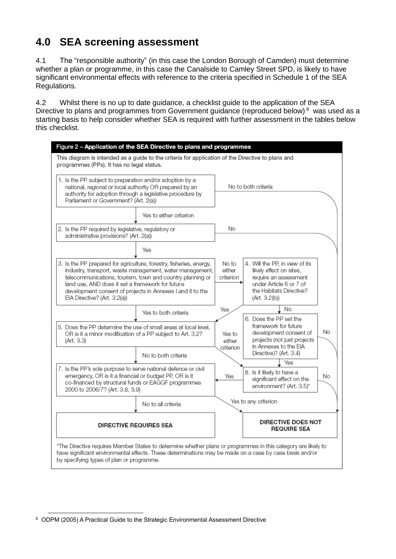### **4.0 SEA screening assessment**

4.1 The "responsible authority" (in this case the London Borough of Camden) must determine whether a plan or programme, in this case the Canalside to Camley Street SPD, is likely to have significant environmental effects with reference to the criteria specified in Schedule 1 of the SEA Regulations.

4.2 Whilst there is no up to date guidance, a checklist guide to the application of the SEA Directive to plans and programmes from Government guidance (reproduced below)<sup>8</sup> was used as a starting basis to help consider whether SEA is required with further assessment in the tables below this checklist.



l  $^{\rm 8}$  ODPM (2005) A Practical Guide to the Strategic Environmental Assessment Directive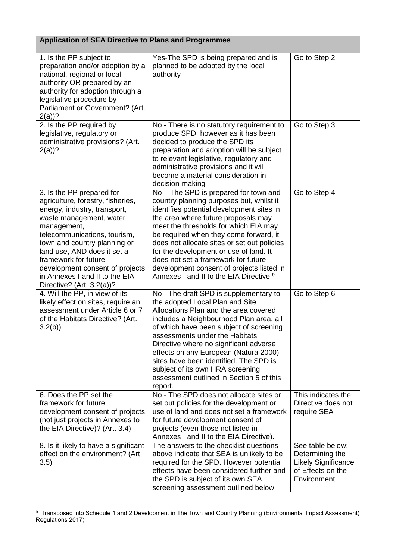| <b>Application of SEA Directive to Plans and Programmes</b>                                                                                                                                                                                                                                                                                                          |                                                                                                                                                                                                                                                                                                                                                                                                                                                                                              |                                                                                                       |  |  |
|----------------------------------------------------------------------------------------------------------------------------------------------------------------------------------------------------------------------------------------------------------------------------------------------------------------------------------------------------------------------|----------------------------------------------------------------------------------------------------------------------------------------------------------------------------------------------------------------------------------------------------------------------------------------------------------------------------------------------------------------------------------------------------------------------------------------------------------------------------------------------|-------------------------------------------------------------------------------------------------------|--|--|
| 1. Is the PP subject to<br>preparation and/or adoption by a<br>national, regional or local<br>authority OR prepared by an<br>authority for adoption through a<br>legislative procedure by<br>Parliament or Government? (Art.<br>$2(a)$ ?                                                                                                                             | Yes-The SPD is being prepared and is<br>planned to be adopted by the local<br>authority                                                                                                                                                                                                                                                                                                                                                                                                      | Go to Step 2                                                                                          |  |  |
| 2. Is the PP required by<br>legislative, regulatory or<br>administrative provisions? (Art.<br>$2(a)$ ?                                                                                                                                                                                                                                                               | No - There is no statutory requirement to<br>produce SPD, however as it has been<br>decided to produce the SPD its<br>preparation and adoption will be subject<br>to relevant legislative, regulatory and<br>administrative provisions and it will<br>become a material consideration in<br>decision-making                                                                                                                                                                                  | Go to Step 3                                                                                          |  |  |
| 3. Is the PP prepared for<br>agriculture, forestry, fisheries,<br>energy, industry, transport,<br>waste management, water<br>management,<br>telecommunications, tourism,<br>town and country planning or<br>land use, AND does it set a<br>framework for future<br>development consent of projects<br>in Annexes I and II to the EIA<br>Directive? (Art. $3.2(a)$ )? | No - The SPD is prepared for town and<br>country planning purposes but, whilst it<br>identifies potential development sites in<br>the area where future proposals may<br>meet the thresholds for which EIA may<br>be required when they come forward, it<br>does not allocate sites or set out policies<br>for the development or use of land. It<br>does not set a framework for future<br>development consent of projects listed in<br>Annexes I and II to the EIA Directive. <sup>9</sup> | Go to Step 4                                                                                          |  |  |
| 4. Will the PP, in view of its<br>likely effect on sites, require an<br>assessment under Article 6 or 7<br>of the Habitats Directive? (Art.<br>3.2(b)                                                                                                                                                                                                                | No - The draft SPD is supplementary to<br>the adopted Local Plan and Site<br>Allocations Plan and the area covered<br>includes a Neighbourhood Plan area, all<br>of which have been subject of screening<br>assessments under the Habitats<br>Directive where no significant adverse<br>effects on any European (Natura 2000)<br>sites have been identified. The SPD is<br>subject of its own HRA screening<br>assessment outlined in Section 5 of this<br>report.                           | Go to Step 6                                                                                          |  |  |
| 6. Does the PP set the<br>framework for future<br>development consent of projects<br>(not just projects in Annexes to<br>the EIA Directive)? (Art. 3.4)                                                                                                                                                                                                              | No - The SPD does not allocate sites or<br>set out policies for the development or<br>use of land and does not set a framework<br>for future development consent of<br>projects (even those not listed in<br>Annexes I and II to the EIA Directive).                                                                                                                                                                                                                                         | This indicates the<br>Directive does not<br>require SEA                                               |  |  |
| 8. Is it likely to have a significant<br>effect on the environment? (Art<br>3.5)                                                                                                                                                                                                                                                                                     | The answers to the checklist questions<br>above indicate that SEA is unlikely to be<br>required for the SPD. However potential<br>effects have been considered further and<br>the SPD is subject of its own SEA<br>screening assessment outlined below.                                                                                                                                                                                                                                      | See table below:<br>Determining the<br><b>Likely Significance</b><br>of Effects on the<br>Environment |  |  |

 9 Transposed into Schedule 1 and 2 Development in The Town and Country Planning (Environmental Impact Assessment) Regulations 2017)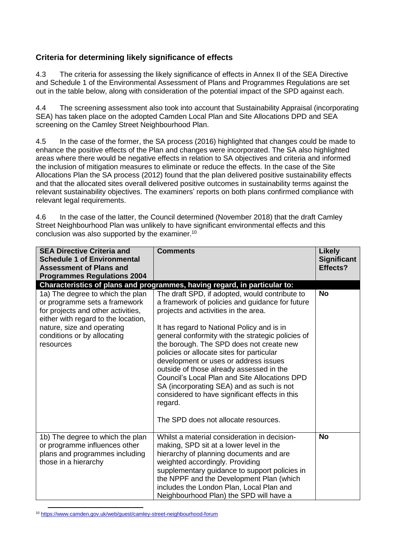#### **Criteria for determining likely significance of effects**

4.3 The criteria for assessing the likely significance of effects in Annex II of the SEA Directive and Schedule 1 of the Environmental Assessment of Plans and Programmes Regulations are set out in the table below, along with consideration of the potential impact of the SPD against each.

4.4 The screening assessment also took into account that Sustainability Appraisal (incorporating SEA) has taken place on the adopted Camden Local Plan and Site Allocations DPD and SEA screening on the Camley Street Neighbourhood Plan.

4.5 In the case of the former, the SA process (2016) highlighted that changes could be made to enhance the positive effects of the Plan and changes were incorporated. The SA also highlighted areas where there would be negative effects in relation to SA objectives and criteria and informed the inclusion of mitigation measures to eliminate or reduce the effects. In the case of the Site Allocations Plan the SA process (2012) found that the plan delivered positive sustainability effects and that the allocated sites overall delivered positive outcomes in sustainability terms against the relevant sustainability objectives. The examiners' reports on both plans confirmed compliance with relevant legal requirements.

4.6 In the case of the latter, the Council determined (November 2018) that the draft Camley Street Neighbourhood Plan was unlikely to have significant environmental effects and this conclusion was also supported by the examiner.<sup>10</sup>

| <b>SEA Directive Criteria and</b><br><b>Schedule 1 of Environmental</b><br><b>Assessment of Plans and</b><br><b>Programmes Regulations 2004</b>                                                                          | <b>Comments</b>                                                                                                                                                                                                                                                                                                                                                                                                                                                                                                                                                                                                                                                                                                   | <b>Likely</b><br><b>Significant</b><br>Effects? |
|--------------------------------------------------------------------------------------------------------------------------------------------------------------------------------------------------------------------------|-------------------------------------------------------------------------------------------------------------------------------------------------------------------------------------------------------------------------------------------------------------------------------------------------------------------------------------------------------------------------------------------------------------------------------------------------------------------------------------------------------------------------------------------------------------------------------------------------------------------------------------------------------------------------------------------------------------------|-------------------------------------------------|
| 1a) The degree to which the plan<br>or programme sets a framework<br>for projects and other activities,<br>either with regard to the location,<br>nature, size and operating<br>conditions or by allocating<br>resources | Characteristics of plans and programmes, having regard, in particular to:<br>The draft SPD, if adopted, would contribute to<br>a framework of policies and guidance for future<br>projects and activities in the area.<br>It has regard to National Policy and is in<br>general conformity with the strategic policies of<br>the borough. The SPD does not create new<br>policies or allocate sites for particular<br>development or uses or address issues<br>outside of those already assessed in the<br><b>Council's Local Plan and Site Allocations DPD</b><br>SA (incorporating SEA) and as such is not<br>considered to have significant effects in this<br>regard.<br>The SPD does not allocate resources. | <b>No</b>                                       |
| 1b) The degree to which the plan<br>or programme influences other<br>plans and programmes including<br>those in a hierarchy                                                                                              | Whilst a material consideration in decision-<br>making, SPD sit at a lower level in the<br>hierarchy of planning documents and are<br>weighted accordingly. Providing<br>supplementary guidance to support policies in<br>the NPPF and the Development Plan (which<br>includes the London Plan, Local Plan and<br>Neighbourhood Plan) the SPD will have a                                                                                                                                                                                                                                                                                                                                                         | <b>No</b>                                       |

 $\overline{\phantom{a}}$ <sup>10</sup> <https://www.camden.gov.uk/web/guest/camley-street-neighbourhood-forum>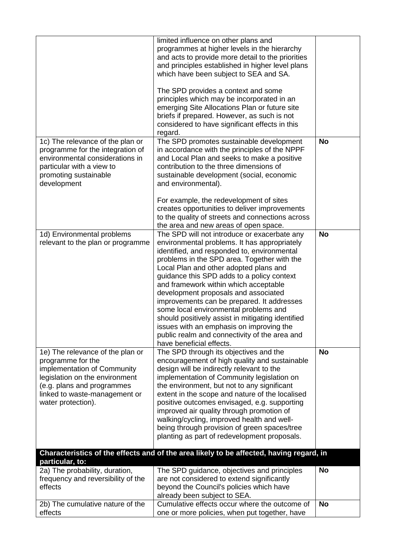|                                                                                                                                                                                                             | limited influence on other plans and<br>programmes at higher levels in the hierarchy<br>and acts to provide more detail to the priorities<br>and principles established in higher level plans                                                                                                                                                                                                                                                                                                                                                                                                                                            |           |
|-------------------------------------------------------------------------------------------------------------------------------------------------------------------------------------------------------------|------------------------------------------------------------------------------------------------------------------------------------------------------------------------------------------------------------------------------------------------------------------------------------------------------------------------------------------------------------------------------------------------------------------------------------------------------------------------------------------------------------------------------------------------------------------------------------------------------------------------------------------|-----------|
|                                                                                                                                                                                                             | which have been subject to SEA and SA.<br>The SPD provides a context and some<br>principles which may be incorporated in an<br>emerging Site Allocations Plan or future site                                                                                                                                                                                                                                                                                                                                                                                                                                                             |           |
|                                                                                                                                                                                                             | briefs if prepared. However, as such is not<br>considered to have significant effects in this<br>regard.                                                                                                                                                                                                                                                                                                                                                                                                                                                                                                                                 |           |
| 1c) The relevance of the plan or<br>programme for the integration of<br>environmental considerations in<br>particular with a view to<br>promoting sustainable<br>development                                | The SPD promotes sustainable development<br>in accordance with the principles of the NPPF<br>and Local Plan and seeks to make a positive<br>contribution to the three dimensions of<br>sustainable development (social, economic<br>and environmental).                                                                                                                                                                                                                                                                                                                                                                                  | <b>No</b> |
|                                                                                                                                                                                                             | For example, the redevelopment of sites<br>creates opportunities to deliver improvements<br>to the quality of streets and connections across<br>the area and new areas of open space.                                                                                                                                                                                                                                                                                                                                                                                                                                                    |           |
| 1d) Environmental problems<br>relevant to the plan or programme                                                                                                                                             | The SPD will not introduce or exacerbate any<br>environmental problems. It has appropriately<br>identified, and responded to, environmental<br>problems in the SPD area. Together with the<br>Local Plan and other adopted plans and<br>guidance this SPD adds to a policy context<br>and framework within which acceptable<br>development proposals and associated<br>improvements can be prepared. It addresses<br>some local environmental problems and<br>should positively assist in mitigating identified<br>issues with an emphasis on improving the<br>public realm and connectivity of the area and<br>have beneficial effects. | <b>No</b> |
| 1e) The relevance of the plan or<br>programme for the<br>implementation of Community<br>legislation on the environment<br>(e.g. plans and programmes<br>linked to waste-management or<br>water protection). | The SPD through its objectives and the<br>encouragement of high quality and sustainable<br>design will be indirectly relevant to the<br>implementation of Community legislation on<br>the environment, but not to any significant<br>extent in the scope and nature of the localised<br>positive outcomes envisaged, e.g. supporting<br>improved air quality through promotion of<br>walking/cycling, improved health and well-<br>being through provision of green spaces/tree<br>planting as part of redevelopment proposals.                                                                                                          | <b>No</b> |
| particular, to:                                                                                                                                                                                             | Characteristics of the effects and of the area likely to be affected, having regard, in                                                                                                                                                                                                                                                                                                                                                                                                                                                                                                                                                  |           |
| 2a) The probability, duration,<br>frequency and reversibility of the<br>effects                                                                                                                             | The SPD guidance, objectives and principles<br>are not considered to extend significantly<br>beyond the Council's policies which have<br>already been subject to SEA.                                                                                                                                                                                                                                                                                                                                                                                                                                                                    | <b>No</b> |
| 2b) The cumulative nature of the<br>effects                                                                                                                                                                 | Cumulative effects occur where the outcome of<br>one or more policies, when put together, have                                                                                                                                                                                                                                                                                                                                                                                                                                                                                                                                           | <b>No</b> |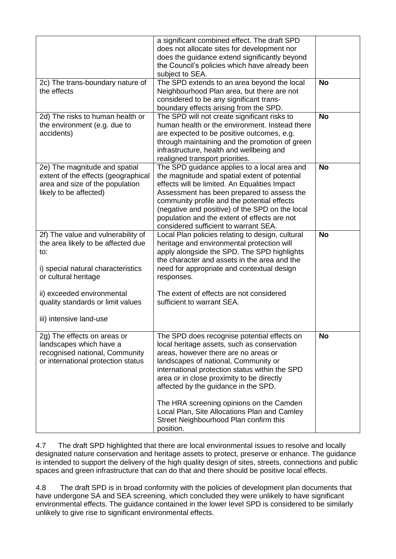|                                                                                                                                               | a significant combined effect. The draft SPD<br>does not allocate sites for development nor<br>does the guidance extend significantly beyond<br>the Council's policies which have already been<br>subject to SEA.                                                                                                                                                                                                                                                    |           |
|-----------------------------------------------------------------------------------------------------------------------------------------------|----------------------------------------------------------------------------------------------------------------------------------------------------------------------------------------------------------------------------------------------------------------------------------------------------------------------------------------------------------------------------------------------------------------------------------------------------------------------|-----------|
| 2c) The trans-boundary nature of<br>the effects                                                                                               | The SPD extends to an area beyond the local<br>Neighbourhood Plan area, but there are not<br>considered to be any significant trans-<br>boundary effects arising from the SPD.                                                                                                                                                                                                                                                                                       | <b>No</b> |
| 2d) The risks to human health or<br>the environment (e.g. due to<br>accidents)                                                                | The SPD will not create significant risks to<br>human health or the environment. Instead there<br>are expected to be positive outcomes, e.g.<br>through maintaining and the promotion of green<br>infrastructure, health and wellbeing and<br>realigned transport priorities.                                                                                                                                                                                        | <b>No</b> |
| 2e) The magnitude and spatial<br>extent of the effects (geographical<br>area and size of the population<br>likely to be affected)             | The SPD guidance applies to a local area and<br>the magnitude and spatial extent of potential<br>effects will be limited. An Equalities Impact<br>Assessment has been prepared to assess the<br>community profile and the potential effects<br>(negative and positive) of the SPD on the local<br>population and the extent of effects are not<br>considered sufficient to warrant SEA.                                                                              | <b>No</b> |
| 2f) The value and vulnerability of<br>the area likely to be affected due<br>to:<br>i) special natural characteristics<br>or cultural heritage | Local Plan policies relating to design, cultural<br>heritage and environmental protection will<br>apply alongside the SPD. The SPD highlights<br>the character and assets in the area and the<br>need for appropriate and contextual design<br>responses.                                                                                                                                                                                                            | <b>No</b> |
| ii) exceeded environmental<br>quality standards or limit values<br>iii) intensive land-use                                                    | The extent of effects are not considered<br>sufficient to warrant SEA.                                                                                                                                                                                                                                                                                                                                                                                               |           |
| 2g) The effects on areas or<br>landscapes which have a<br>recognised national, Community<br>or international protection status                | The SPD does recognise potential effects on<br>local heritage assets, such as conservation<br>areas, however there are no areas or<br>landscapes of national, Community or<br>international protection status within the SPD<br>area or in close proximity to be directly<br>affected by the guidance in the SPD.<br>The HRA screening opinions on the Camden<br>Local Plan, Site Allocations Plan and Camley<br>Street Neighbourhood Plan confirm this<br>position. | No        |

4.7 The draft SPD highlighted that there are local environmental issues to resolve and locally designated nature conservation and heritage assets to protect, preserve or enhance. The guidance is intended to support the delivery of the high quality design of sites, streets, connections and public spaces and green infrastructure that can do that and there should be positive local effects.

4.8 The draft SPD is in broad conformity with the policies of development plan documents that have undergone SA and SEA screening, which concluded they were unlikely to have significant environmental effects. The guidance contained in the lower level SPD is considered to be similarly unlikely to give rise to significant environmental effects.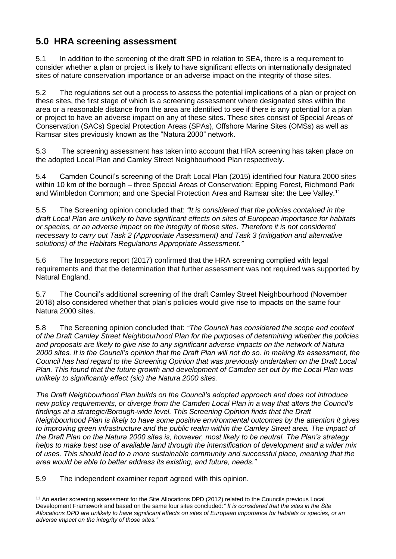#### **5.0 HRA screening assessment**

5.1 In addition to the screening of the draft SPD in relation to SEA, there is a requirement to consider whether a plan or project is likely to have significant effects on internationally designated sites of nature conservation importance or an adverse impact on the integrity of those sites.

5.2 The regulations set out a process to assess the potential implications of a plan or project on these sites, the first stage of which is a screening assessment where designated sites within the area or a reasonable distance from the area are identified to see if there is any potential for a plan or project to have an adverse impact on any of these sites. These sites consist of Special Areas of Conservation (SACs) Special Protection Areas (SPAs), Offshore Marine Sites (OMSs) as well as Ramsar sites previously known as the "Natura 2000" network.

5.3 The screening assessment has taken into account that HRA screening has taken place on the adopted Local Plan and Camley Street Neighbourhood Plan respectively.

5.4 Camden Council's screening of the Draft Local Plan (2015) identified four Natura 2000 sites within 10 km of the borough – three Special Areas of Conservation: Epping Forest, Richmond Park and Wimbledon Common; and one Special Protection Area and Ramsar site: the Lee Valley.<sup>11</sup>

5.5 The Screening opinion concluded that: *"It is considered that the policies contained in the draft Local Plan are unlikely to have significant effects on sites of European importance for habitats or species, or an adverse impact on the integrity of those sites. Therefore it is not considered necessary to carry out Task 2 (Appropriate Assessment) and Task 3 (mitigation and alternative solutions) of the Habitats Regulations Appropriate Assessment."*

5.6 The Inspectors report (2017) confirmed that the HRA screening complied with legal requirements and that the determination that further assessment was not required was supported by Natural England.

5.7 The Council's additional screening of the draft Camley Street Neighbourhood (November 2018) also considered whether that plan's policies would give rise to impacts on the same four Natura 2000 sites.

5.8 The Screening opinion concluded that: *"The Council has considered the scope and content of the Draft Camley Street Neighbourhood Plan for the purposes of determining whether the policies and proposals are likely to give rise to any significant adverse impacts on the network of Natura 2000 sites. It is the Council's opinion that the Draft Plan will not do so. In making its assessment, the Council has had regard to the Screening Opinion that was previously undertaken on the Draft Local Plan. This found that the future growth and development of Camden set out by the Local Plan was unlikely to significantly effect (sic) the Natura 2000 sites.*

*The Draft Neighbourhood Plan builds on the Council's adopted approach and does not introduce new policy requirements, or diverge from the Camden Local Plan in a way that alters the Council's findings at a strategic/Borough-wide level. This Screening Opinion finds that the Draft Neighbourhood Plan is likely to have some positive environmental outcomes by the attention it gives to improving green infrastructure and the public realm within the Camley Street area. The impact of the Draft Plan on the Natura 2000 sites is, however, most likely to be neutral. The Plan's strategy helps to make best use of available land through the intensification of development and a wider mix of uses. This should lead to a more sustainable community and successful place, meaning that the area would be able to better address its existing, and future, needs."*

5.9 The independent examiner report agreed with this opinion.

 $\overline{\phantom{a}}$ <sup>11</sup> An earlier screening assessment for the Site Allocations DPD (2012) related to the Councils previous Local Development Framework and based on the same four sites concluded:*" It is considered that the sites in the Site Allocations DPD are unlikely to have significant effects on sites of European importance for habitats or species, or an adverse impact on the integrity of those sites."*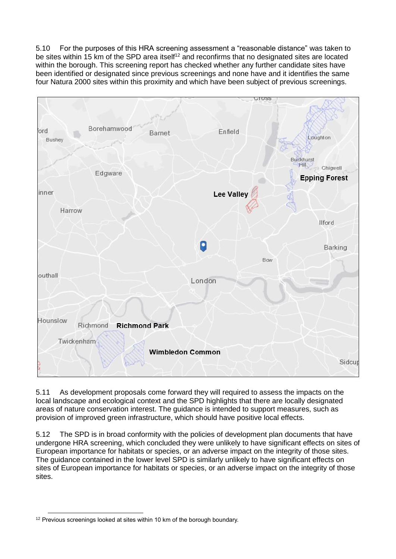5.10 For the purposes of this HRA screening assessment a "reasonable distance" was taken to be sites within 15 km of the SPD area itself<sup>12</sup> and reconfirms that no designated sites are located within the borough. This screening report has checked whether any further candidate sites have been identified or designated since previous screenings and none have and it identifies the same four Natura 2000 sites within this proximity and which have been subject of previous screenings.



5.11 As development proposals come forward they will required to assess the impacts on the local landscape and ecological context and the SPD highlights that there are locally designated areas of nature conservation interest. The guidance is intended to support measures, such as provision of improved green infrastructure, which should have positive local effects.

5.12 The SPD is in broad conformity with the policies of development plan documents that have undergone HRA screening, which concluded they were unlikely to have significant effects on sites of European importance for habitats or species, or an adverse impact on the integrity of those sites. The guidance contained in the lower level SPD is similarly unlikely to have significant effects on sites of European importance for habitats or species, or an adverse impact on the integrity of those sites.

l <sup>12</sup> Previous screenings looked at sites within 10 km of the borough boundary.